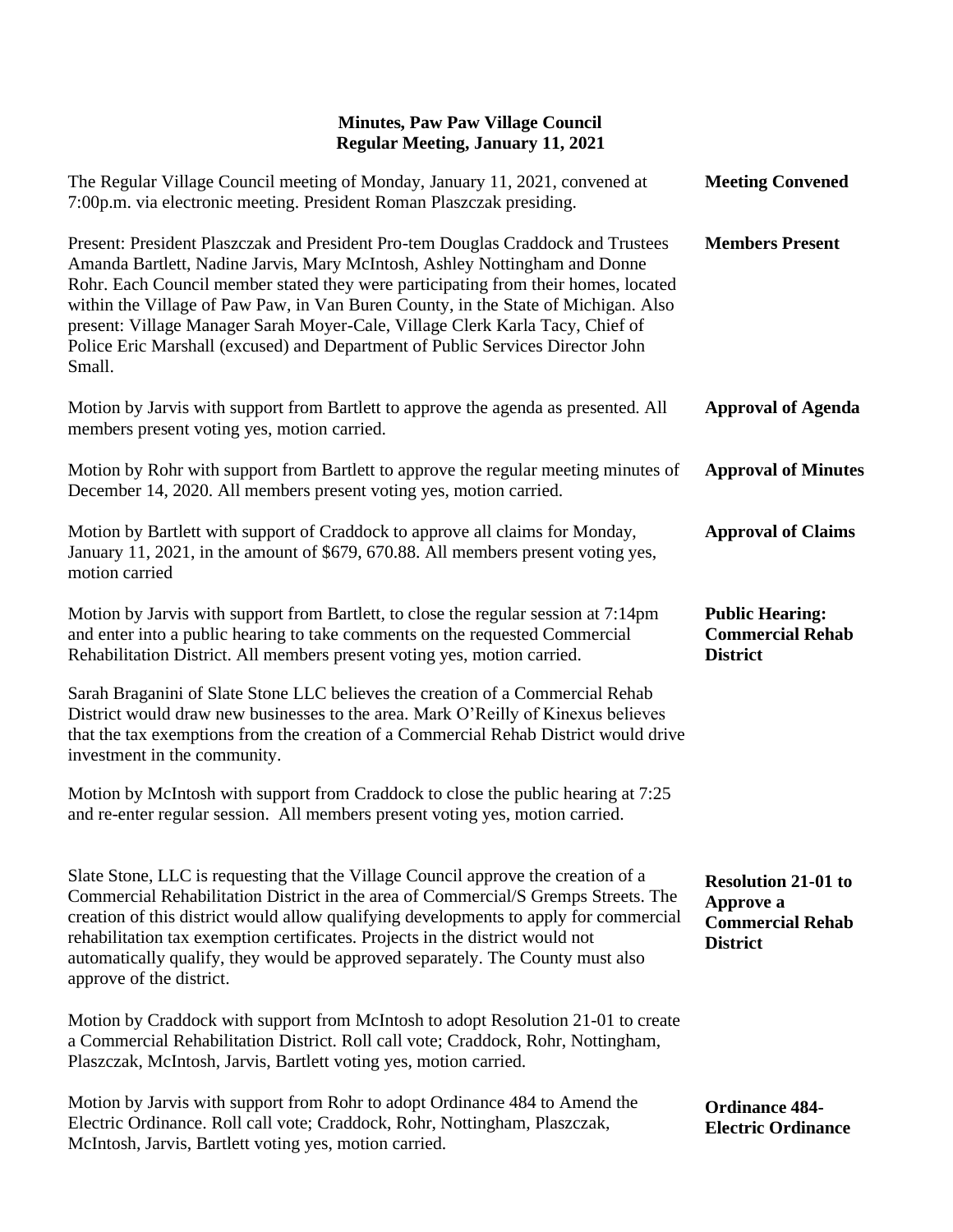| The Regular Village Council meeting of Monday, January 11, 2021, convened at<br>7:00p.m. via electronic meeting. President Roman Plaszczak presiding.                                                                                                                                                                                                                                                                                                                                                                   | <b>Meeting Convened</b>                                                               |
|-------------------------------------------------------------------------------------------------------------------------------------------------------------------------------------------------------------------------------------------------------------------------------------------------------------------------------------------------------------------------------------------------------------------------------------------------------------------------------------------------------------------------|---------------------------------------------------------------------------------------|
| Present: President Plaszczak and President Pro-tem Douglas Craddock and Trustees<br>Amanda Bartlett, Nadine Jarvis, Mary McIntosh, Ashley Nottingham and Donne<br>Rohr. Each Council member stated they were participating from their homes, located<br>within the Village of Paw Paw, in Van Buren County, in the State of Michigan. Also<br>present: Village Manager Sarah Moyer-Cale, Village Clerk Karla Tacy, Chief of<br>Police Eric Marshall (excused) and Department of Public Services Director John<br>Small. | <b>Members Present</b>                                                                |
| Motion by Jarvis with support from Bartlett to approve the agenda as presented. All<br>members present voting yes, motion carried.                                                                                                                                                                                                                                                                                                                                                                                      | <b>Approval of Agenda</b>                                                             |
| Motion by Rohr with support from Bartlett to approve the regular meeting minutes of<br>December 14, 2020. All members present voting yes, motion carried.                                                                                                                                                                                                                                                                                                                                                               | <b>Approval of Minutes</b>                                                            |
| Motion by Bartlett with support of Craddock to approve all claims for Monday,<br>January 11, 2021, in the amount of \$679, 670.88. All members present voting yes,<br>motion carried                                                                                                                                                                                                                                                                                                                                    | <b>Approval of Claims</b>                                                             |
| Motion by Jarvis with support from Bartlett, to close the regular session at 7:14pm<br>and enter into a public hearing to take comments on the requested Commercial<br>Rehabilitation District. All members present voting yes, motion carried.                                                                                                                                                                                                                                                                         | <b>Public Hearing:</b><br><b>Commercial Rehab</b><br><b>District</b>                  |
| Sarah Braganini of Slate Stone LLC believes the creation of a Commercial Rehab<br>District would draw new businesses to the area. Mark O'Reilly of Kinexus believes<br>that the tax exemptions from the creation of a Commercial Rehab District would drive<br>investment in the community.                                                                                                                                                                                                                             |                                                                                       |
| Motion by McIntosh with support from Craddock to close the public hearing at 7:25<br>and re-enter regular session. All members present voting yes, motion carried.                                                                                                                                                                                                                                                                                                                                                      |                                                                                       |
| Slate Stone, LLC is requesting that the Village Council approve the creation of a<br>Commercial Rehabilitation District in the area of Commercial/S Gremps Streets. The<br>creation of this district would allow qualifying developments to apply for commercial<br>rehabilitation tax exemption certificates. Projects in the district would not<br>automatically qualify, they would be approved separately. The County must also<br>approve of the district.                                                         | <b>Resolution 21-01 to</b><br>Approve a<br><b>Commercial Rehab</b><br><b>District</b> |
| Motion by Craddock with support from McIntosh to adopt Resolution 21-01 to create<br>a Commercial Rehabilitation District. Roll call vote; Craddock, Rohr, Nottingham,<br>Plaszczak, McIntosh, Jarvis, Bartlett voting yes, motion carried.                                                                                                                                                                                                                                                                             |                                                                                       |
| Motion by Jarvis with support from Rohr to adopt Ordinance 484 to Amend the<br>Electric Ordinance. Roll call vote; Craddock, Rohr, Nottingham, Plaszczak,<br>McIntosh, Jarvis, Bartlett voting yes, motion carried.                                                                                                                                                                                                                                                                                                     | <b>Ordinance 484-</b><br><b>Electric Ordinance</b>                                    |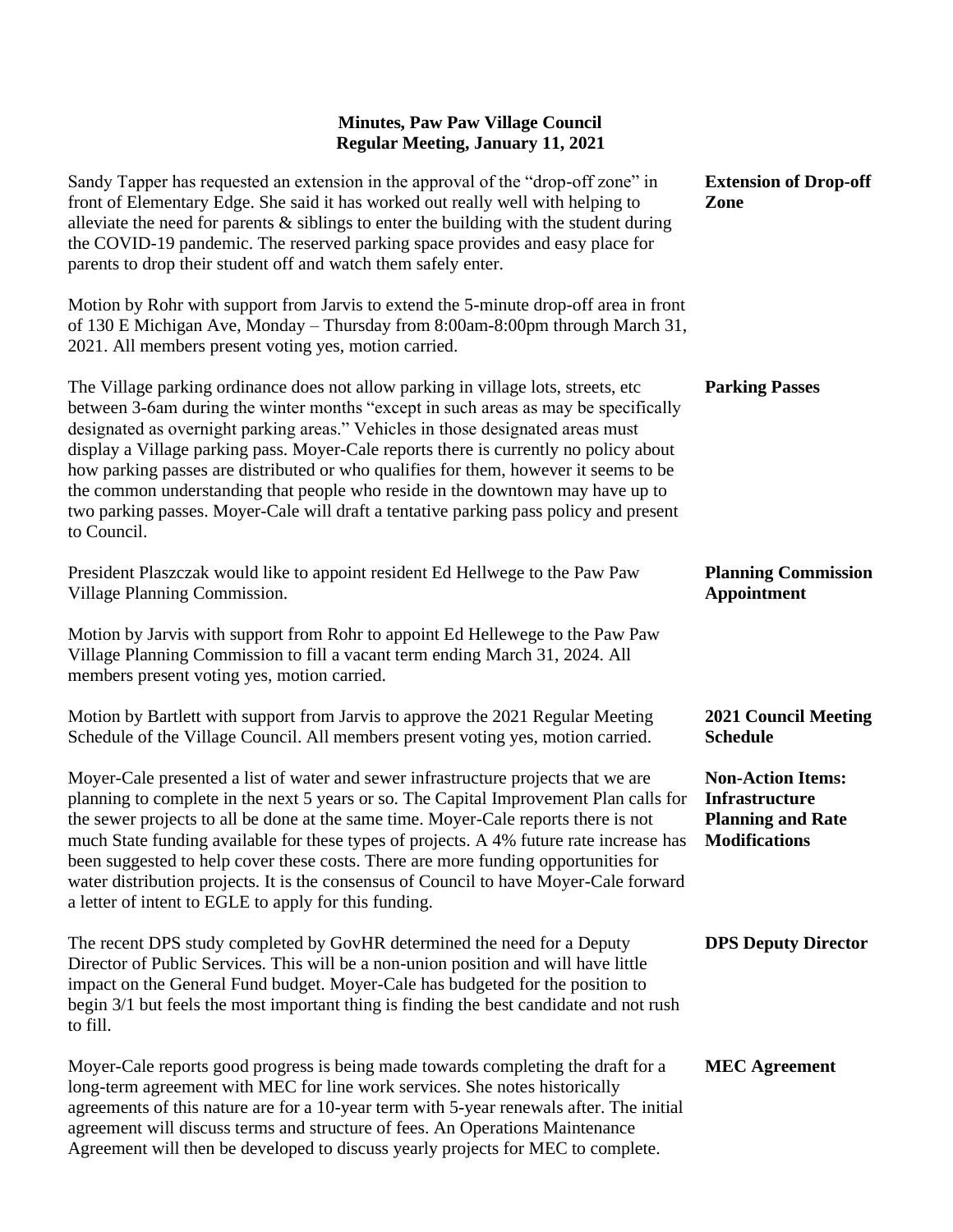| Sandy Tapper has requested an extension in the approval of the "drop-off zone" in<br>front of Elementary Edge. She said it has worked out really well with helping to<br>alleviate the need for parents $\&$ siblings to enter the building with the student during<br>the COVID-19 pandemic. The reserved parking space provides and easy place for<br>parents to drop their student off and watch them safely enter.                                                                                                                                                                                                                  | <b>Extension of Drop-off</b><br>Zone                                                           |
|-----------------------------------------------------------------------------------------------------------------------------------------------------------------------------------------------------------------------------------------------------------------------------------------------------------------------------------------------------------------------------------------------------------------------------------------------------------------------------------------------------------------------------------------------------------------------------------------------------------------------------------------|------------------------------------------------------------------------------------------------|
| Motion by Rohr with support from Jarvis to extend the 5-minute drop-off area in front<br>of 130 E Michigan Ave, Monday - Thursday from 8:00am-8:00pm through March 31,<br>2021. All members present voting yes, motion carried.                                                                                                                                                                                                                                                                                                                                                                                                         |                                                                                                |
| The Village parking ordinance does not allow parking in village lots, streets, etc<br>between 3-6am during the winter months "except in such areas as may be specifically<br>designated as overnight parking areas." Vehicles in those designated areas must<br>display a Village parking pass. Moyer-Cale reports there is currently no policy about<br>how parking passes are distributed or who qualifies for them, however it seems to be<br>the common understanding that people who reside in the downtown may have up to<br>two parking passes. Moyer-Cale will draft a tentative parking pass policy and present<br>to Council. | <b>Parking Passes</b>                                                                          |
| President Plaszczak would like to appoint resident Ed Hellwege to the Paw Paw<br>Village Planning Commission.                                                                                                                                                                                                                                                                                                                                                                                                                                                                                                                           | <b>Planning Commission</b><br><b>Appointment</b>                                               |
| Motion by Jarvis with support from Rohr to appoint Ed Hellewege to the Paw Paw<br>Village Planning Commission to fill a vacant term ending March 31, 2024. All<br>members present voting yes, motion carried.                                                                                                                                                                                                                                                                                                                                                                                                                           |                                                                                                |
| Motion by Bartlett with support from Jarvis to approve the 2021 Regular Meeting<br>Schedule of the Village Council. All members present voting yes, motion carried.                                                                                                                                                                                                                                                                                                                                                                                                                                                                     | <b>2021 Council Meeting</b><br><b>Schedule</b>                                                 |
| Moyer-Cale presented a list of water and sewer infrastructure projects that we are<br>planning to complete in the next 5 years or so. The Capital Improvement Plan calls for<br>the sewer projects to all be done at the same time. Moyer-Cale reports there is not<br>much State funding available for these types of projects. A 4% future rate increase has<br>been suggested to help cover these costs. There are more funding opportunities for<br>water distribution projects. It is the consensus of Council to have Moyer-Cale forward<br>a letter of intent to EGLE to apply for this funding.                                 | <b>Non-Action Items:</b><br>Infrastructure<br><b>Planning and Rate</b><br><b>Modifications</b> |
| The recent DPS study completed by GovHR determined the need for a Deputy<br>Director of Public Services. This will be a non-union position and will have little<br>impact on the General Fund budget. Moyer-Cale has budgeted for the position to<br>begin 3/1 but feels the most important thing is finding the best candidate and not rush<br>to fill.                                                                                                                                                                                                                                                                                | <b>DPS Deputy Director</b>                                                                     |
| Moyer-Cale reports good progress is being made towards completing the draft for a<br>long-term agreement with MEC for line work services. She notes historically<br>agreements of this nature are for a 10-year term with 5-year renewals after. The initial<br>agreement will discuss terms and structure of fees. An Operations Maintenance                                                                                                                                                                                                                                                                                           | <b>MEC</b> Agreement                                                                           |

Agreement will then be developed to discuss yearly projects for MEC to complete.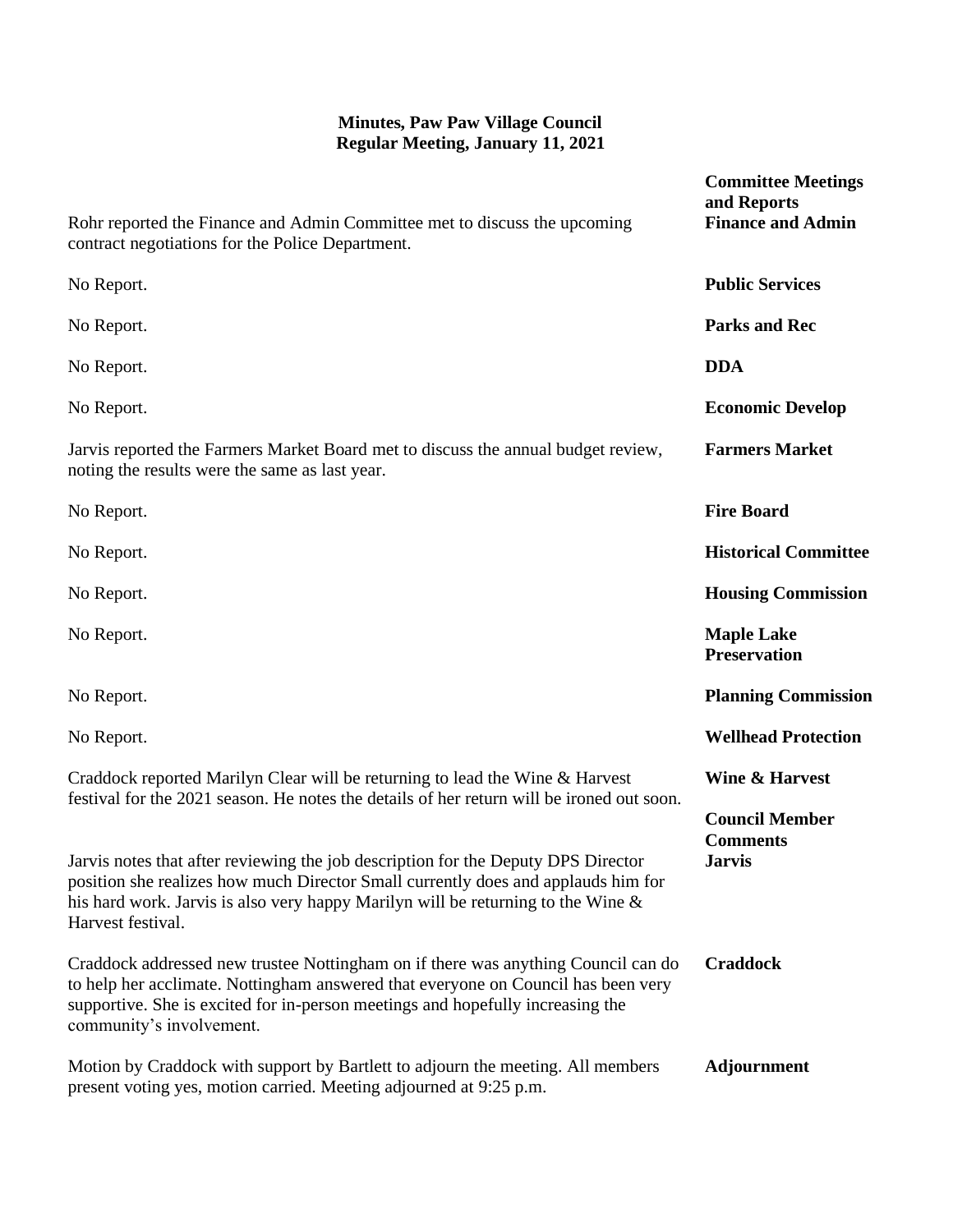| Rohr reported the Finance and Admin Committee met to discuss the upcoming<br>contract negotiations for the Police Department.                                                                                                                                                        | <b>Committee Meetings</b><br>and Reports<br><b>Finance and Admin</b> |
|--------------------------------------------------------------------------------------------------------------------------------------------------------------------------------------------------------------------------------------------------------------------------------------|----------------------------------------------------------------------|
| No Report.                                                                                                                                                                                                                                                                           | <b>Public Services</b>                                               |
| No Report.                                                                                                                                                                                                                                                                           | <b>Parks and Rec</b>                                                 |
| No Report.                                                                                                                                                                                                                                                                           | <b>DDA</b>                                                           |
| No Report.                                                                                                                                                                                                                                                                           | <b>Economic Develop</b>                                              |
| Jarvis reported the Farmers Market Board met to discuss the annual budget review,<br>noting the results were the same as last year.                                                                                                                                                  | <b>Farmers Market</b>                                                |
| No Report.                                                                                                                                                                                                                                                                           | <b>Fire Board</b>                                                    |
| No Report.                                                                                                                                                                                                                                                                           | <b>Historical Committee</b>                                          |
| No Report.                                                                                                                                                                                                                                                                           | <b>Housing Commission</b>                                            |
| No Report.                                                                                                                                                                                                                                                                           | <b>Maple Lake</b><br><b>Preservation</b>                             |
| No Report.                                                                                                                                                                                                                                                                           | <b>Planning Commission</b>                                           |
| No Report.                                                                                                                                                                                                                                                                           | <b>Wellhead Protection</b>                                           |
| Craddock reported Marilyn Clear will be returning to lead the Wine & Harvest                                                                                                                                                                                                         | <b>Wine &amp; Harvest</b>                                            |
| festival for the 2021 season. He notes the details of her return will be ironed out soon.<br>Jarvis notes that after reviewing the job description for the Deputy DPS Director                                                                                                       | <b>Council Member</b><br><b>Comments</b><br>Jarvis                   |
| position she realizes how much Director Small currently does and applauds him for<br>his hard work. Jarvis is also very happy Marilyn will be returning to the Wine $\&$<br>Harvest festival.                                                                                        |                                                                      |
| Craddock addressed new trustee Nottingham on if there was anything Council can do<br>to help her acclimate. Nottingham answered that everyone on Council has been very<br>supportive. She is excited for in-person meetings and hopefully increasing the<br>community's involvement. | <b>Craddock</b>                                                      |
| Motion by Craddock with support by Bartlett to adjourn the meeting. All members<br>present voting yes, motion carried. Meeting adjourned at 9:25 p.m.                                                                                                                                | <b>Adjournment</b>                                                   |